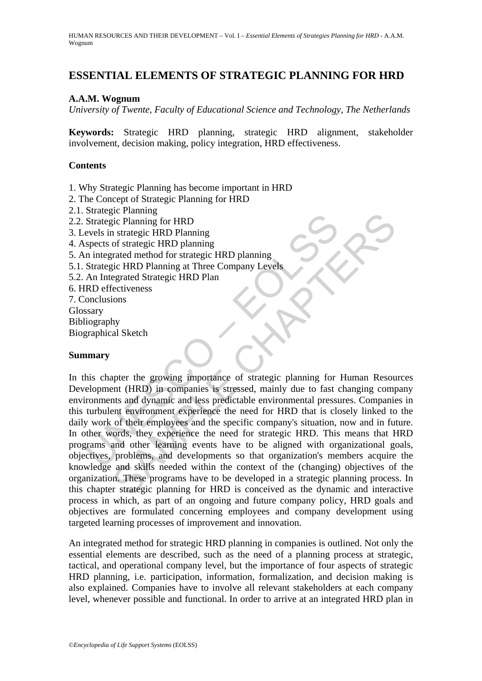## **ESSENTIAL ELEMENTS OF STRATEGIC PLANNING FOR HRD**

#### **A.A.M. Wognum**

*University of Twente, Faculty of Educational Science and Technology, The Netherlands* 

**Keywords:** Strategic HRD planning, strategic HRD alignment, stakeholder involvement, decision making, policy integration, HRD effectiveness.

#### **Contents**

1. Why Strategic Planning has become important in HRD

- 2. The Concept of Strategic Planning for HRD
- 2.1. Strategic Planning
- 2.2. Strategic Planning for HRD
- 3. Levels in strategic HRD Planning
- 4. Aspects of strategic HRD planning
- 5. An integrated method for strategic HRD planning
- 5.1. Strategic HRD Planning at Three Company Levels
- 5.2. An Integrated Strategic HRD Plan
- 6. HRD effectiveness
- 7. Conclusions
- Glossary
- Bibliography
- Biographical Sketch

#### **Summary**

Strategic Planning for HRD<br>
Strategic Planning for HRD<br>
evels in strategic HRD planning<br>
spects of strategic HRD planning<br>
an integrated method for strategic HRD planning<br>
An Integrated Strategic HRD Plan<br>
An Integrated St For Familing<br>
of strategic HRD Planning<br>
of strategic HRD Planning<br>
of strategic HRD Planning<br>
of strategic HRD Planning<br>
of strategic HRD Planning<br>
icc HRD Planning at Three Company Levels<br>
egrated Strategic HRD Plan<br>
ect In this chapter the growing importance of strategic planning for Human Resources Development (HRD) in companies is stressed, mainly due to fast changing company environments and dynamic and less predictable environmental pressures. Companies in this turbulent environment experience the need for HRD that is closely linked to the daily work of their employees and the specific company's situation, now and in future. In other words, they experience the need for strategic HRD. This means that HRD programs and other learning events have to be aligned with organizational goals, objectives, problems, and developments so that organization's members acquire the knowledge and skills needed within the context of the (changing) objectives of the organization. These programs have to be developed in a strategic planning process. In this chapter strategic planning for HRD is conceived as the dynamic and interactive process in which, as part of an ongoing and future company policy, HRD goals and objectives are formulated concerning employees and company development using targeted learning processes of improvement and innovation.

An integrated method for strategic HRD planning in companies is outlined. Not only the essential elements are described, such as the need of a planning process at strategic, tactical, and operational company level, but the importance of four aspects of strategic HRD planning, i.e. participation, information, formalization, and decision making is also explained. Companies have to involve all relevant stakeholders at each company level, whenever possible and functional. In order to arrive at an integrated HRD plan in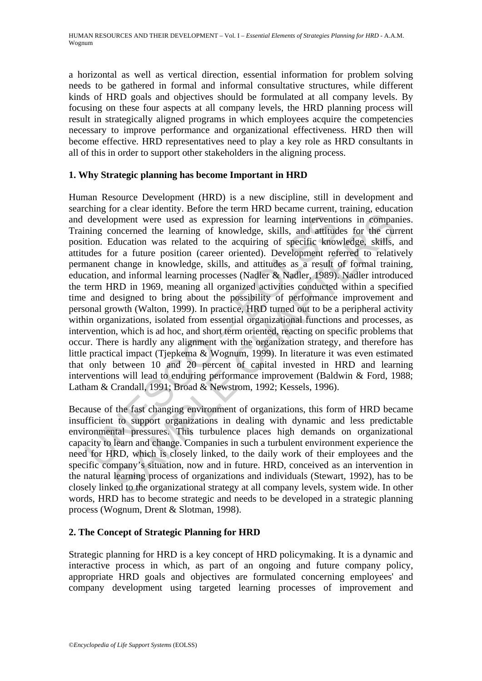a horizontal as well as vertical direction, essential information for problem solving needs to be gathered in formal and informal consultative structures, while different kinds of HRD goals and objectives should be formulated at all company levels. By focusing on these four aspects at all company levels, the HRD planning process will result in strategically aligned programs in which employees acquire the competencies necessary to improve performance and organizational effectiveness. HRD then will become effective. HRD representatives need to play a key role as HRD consultants in all of this in order to support other stakeholders in the aligning process.

### **1. Why Strategic planning has become Important in HRD**

development were used as expression for learning intervential ming concerned the learning of knowledge, skills, and attitud tion. Education was related to the acquiring of specific knowleds for a future position (career or proportive used as expression for learning interventions in comparament were used as expression for learning interventions in comparamented the learning of knowledge, skills, and attitudes for the culture position (career Human Resource Development (HRD) is a new discipline, still in development and searching for a clear identity. Before the term HRD became current, training, education and development were used as expression for learning interventions in companies. Training concerned the learning of knowledge, skills, and attitudes for the current position. Education was related to the acquiring of specific knowledge, skills, and attitudes for a future position (career oriented). Development referred to relatively permanent change in knowledge, skills, and attitudes as a result of formal training, education, and informal learning processes (Nadler & Nadler, 1989). Nadler introduced the term HRD in 1969, meaning all organized activities conducted within a specified time and designed to bring about the possibility of performance improvement and personal growth (Walton, 1999). In practice, HRD turned out to be a peripheral activity within organizations, isolated from essential organizational functions and processes, as intervention, which is ad hoc, and short term oriented, reacting on specific problems that occur. There is hardly any alignment with the organization strategy, and therefore has little practical impact (Tjepkema & Wognum, 1999). In literature it was even estimated that only between 10 and 20 percent of capital invested in HRD and learning interventions will lead to enduring performance improvement (Baldwin & Ford, 1988; Latham & Crandall, 1991; Broad & Newstrom, 1992; Kessels, 1996).

Because of the fast changing environment of organizations, this form of HRD became insufficient to support organizations in dealing with dynamic and less predictable environmental pressures. This turbulence places high demands on organizational capacity to learn and change. Companies in such a turbulent environment experience the need for HRD, which is closely linked, to the daily work of their employees and the specific company's situation, now and in future. HRD, conceived as an intervention in the natural learning process of organizations and individuals (Stewart, 1992), has to be closely linked to the organizational strategy at all company levels, system wide. In other words, HRD has to become strategic and needs to be developed in a strategic planning process (Wognum, Drent & Slotman, 1998).

### **2. The Concept of Strategic Planning for HRD**

Strategic planning for HRD is a key concept of HRD policymaking. It is a dynamic and interactive process in which, as part of an ongoing and future company policy, appropriate HRD goals and objectives are formulated concerning employees' and company development using targeted learning processes of improvement and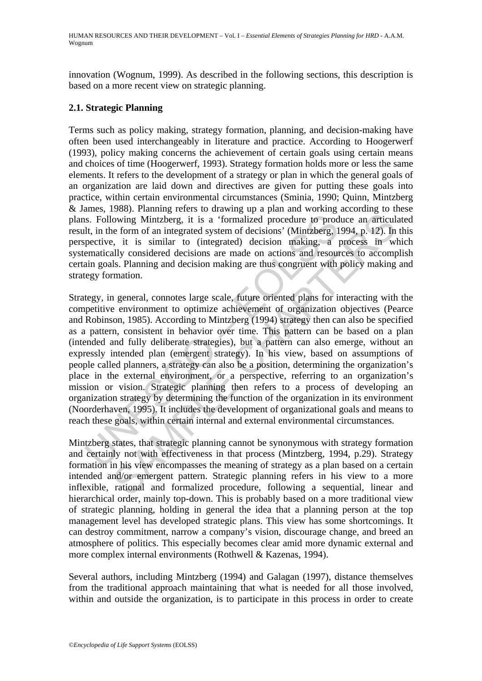innovation (Wognum, 1999). As described in the following sections, this description is based on a more recent view on strategic planning.

#### **2.1. Strategic Planning**

Terms such as policy making, strategy formation, planning, and decision-making have often been used interchangeably in literature and practice. According to Hoogerwerf (1993), policy making concerns the achievement of certain goals using certain means and choices of time (Hoogerwerf, 1993). Strategy formation holds more or less the same elements. It refers to the development of a strategy or plan in which the general goals of an organization are laid down and directives are given for putting these goals into practice, within certain environmental circumstances (Sminia, 1990; Quinn, Mintzberg & James, 1988). Planning refers to drawing up a plan and working according to these plans. Following Mintzberg, it is a 'formalized procedure to produce an articulated result, in the form of an integrated system of decisions' (Mintzberg, 1994, p. 12). In this perspective, it is similar to (integrated) decision making, a process in which systematically considered decisions are made on actions and resources to accomplish certain goals. Planning and decision making are thus congruent with policy making and strategy formation.

Is. Following Mintzberg, it is a 'formalized procedure to product the form of an integrated system of decisions' (Mintzberg, 1 pective, it is similar to (integrated) decision making, a pematically considered decisions are owing Mintzberg, it is a "formalized procedure to produce an articulate form of an integrated system of decisions' (Mintzberg, 1994, p. 12). In its smilar to (integrated) decisions making, a process in will such that the s Strategy, in general, connotes large scale, future oriented plans for interacting with the competitive environment to optimize achievement of organization objectives (Pearce and Robinson, 1985). According to Mintzberg (1994) strategy then can also be specified as a pattern, consistent in behavior over time. This pattern can be based on a plan (intended and fully deliberate strategies), but a pattern can also emerge, without an expressly intended plan (emergent strategy). In his view, based on assumptions of people called planners, a strategy can also be a position, determining the organization's place in the external environment, or a perspective, referring to an organization's mission or vision. Strategic planning then refers to a process of developing an organization strategy by determining the function of the organization in its environment (Noorderhaven, 1995). It includes the development of organizational goals and means to reach these goals, within certain internal and external environmental circumstances.

Mintzberg states, that strategic planning cannot be synonymous with strategy formation and certainly not with effectiveness in that process (Mintzberg, 1994, p.29). Strategy formation in his view encompasses the meaning of strategy as a plan based on a certain intended and/or emergent pattern. Strategic planning refers in his view to a more inflexible, rational and formalized procedure, following a sequential, linear and hierarchical order, mainly top-down. This is probably based on a more traditional view of strategic planning, holding in general the idea that a planning person at the top management level has developed strategic plans. This view has some shortcomings. It can destroy commitment, narrow a company's vision, discourage change, and breed an atmosphere of politics. This especially becomes clear amid more dynamic external and more complex internal environments (Rothwell & Kazenas, 1994).

Several authors, including Mintzberg (1994) and Galagan (1997), distance themselves from the traditional approach maintaining that what is needed for all those involved, within and outside the organization, is to participate in this process in order to create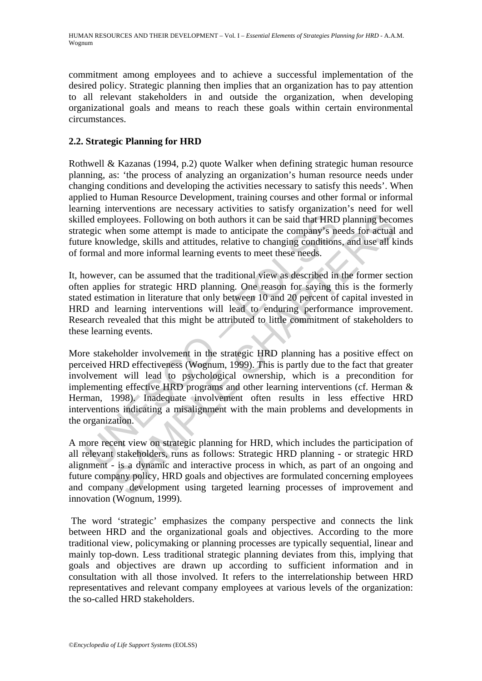commitment among employees and to achieve a successful implementation of the desired policy. Strategic planning then implies that an organization has to pay attention to all relevant stakeholders in and outside the organization, when developing organizational goals and means to reach these goals within certain environmental circumstances.

## **2.2. Strategic Planning for HRD**

Rothwell & Kazanas (1994, p.2) quote Walker when defining strategic human resource planning, as: 'the process of analyzing an organization's human resource needs under changing conditions and developing the activities necessary to satisfy this needs'. When applied to Human Resource Development, training courses and other formal or informal learning interventions are necessary activities to satisfy organization's need for well skilled employees. Following on both authors it can be said that HRD planning becomes strategic when some attempt is made to anticipate the company's needs for actual and future knowledge, skills and attitudes, relative to changing conditions, and use all kinds of formal and more informal learning events to meet these needs.

It, however, can be assumed that the traditional view as described in the former section often applies for strategic HRD planning. One reason for saying this is the formerly stated estimation in literature that only between 10 and 20 percent of capital invested in HRD and learning interventions will lead to enduring performance improvement. Research revealed that this might be attributed to little commitment of stakeholders to these learning events.

led employees. Following on both authors it can be said that HRD<br>tegic when some attempt is made to anticipate the company's ne<br>re knowledge, skills and attitudes, relative to changing conditions<br>ormal and more informal le induced to metals in the main problems and the participation.<br>
En the main problem of the main problems is can be said that HRD planning become attempt is made to anticipate the company's needs for actual whedge, skills an More stakeholder involvement in the strategic HRD planning has a positive effect on perceived HRD effectiveness (Wognum, 1999). This is partly due to the fact that greater involvement will lead to psychological ownership, which is a precondition for implementing effective HRD programs and other learning interventions (cf. Herman & Herman, 1998). Inadequate involvement often results in less effective HRD interventions indicating a misalignment with the main problems and developments in the organization.

A more recent view on strategic planning for HRD, which includes the participation of all relevant stakeholders, runs as follows: Strategic HRD planning - or strategic HRD alignment - is a dynamic and interactive process in which, as part of an ongoing and future company policy, HRD goals and objectives are formulated concerning employees and company development using targeted learning processes of improvement and innovation (Wognum, 1999).

 The word 'strategic' emphasizes the company perspective and connects the link between HRD and the organizational goals and objectives. According to the more traditional view, policymaking or planning processes are typically sequential, linear and mainly top-down. Less traditional strategic planning deviates from this, implying that goals and objectives are drawn up according to sufficient information and in consultation with all those involved. It refers to the interrelationship between HRD representatives and relevant company employees at various levels of the organization: the so-called HRD stakeholders.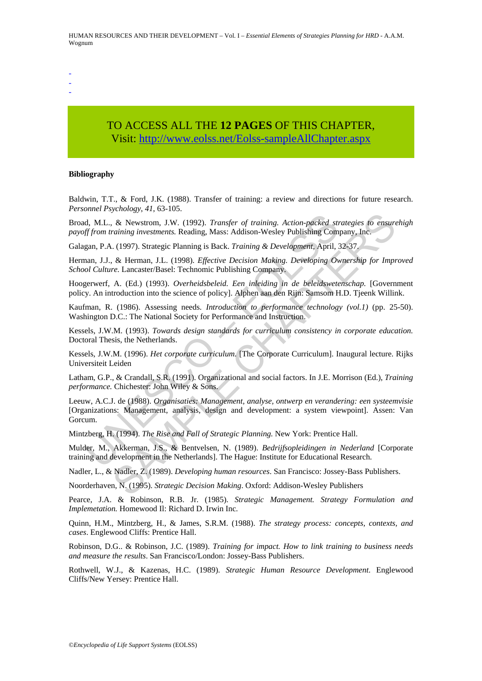HUMAN RESOURCES AND THEIR DEVELOPMENT – Vol. I – *Essential Elements of Strategies Planning for HRD* - A.A.M. Wognum

- -

-

# TO ACCESS ALL THE **12 PAGES** OF THIS CHAPTER, Visi[t: http://www.eolss.net/Eolss-sampleAllChapter.aspx](https://www.eolss.net/ebooklib/sc_cart.aspx?File=E1-10-02-06)

#### **Bibliography**

Baldwin, T.T., & Ford, J.K. (1988). Transfer of training: a review and directions for future research. *Personnel Psychology*, *41*, 63-105.

Broad, M.L., & Newstrom, J.W. (1992). *Transfer of training. Action-packed strategies to ensurehigh payoff from training investments.* Reading, Mass: Addison-Wesley Publishing Company, Inc.

Galagan, P.A. (1997). Strategic Planning is Back. *Training & Development*, April, 32-37.

Herman, J.J., & Herman, J.L. (1998). *Effective Decision Making. Developing Ownership for Improved School Culture.* Lancaster/Basel: Technomic Publishing Company.

Hoogerwerf, A. (Ed.) (1993). *Overheidsbeleid. Een inleiding in de beleidswetenschap.* [Government policy. An introduction into the science of policy]. Alphen aan den Rijn: Samsom H.D. Tjeenk Willink.

Kaufman, R. (1986). Assessing needs. *Introduction to performance technology (vol.1)* (pp. 25-50). Washington D.C.: The National Society for Performance and Instruction.

Kessels, J.W.M. (1993). *Towards design standards for curriculum consistency in corporate education.* Doctoral Thesis, the Netherlands.

Kessels, J.W.M. (1996). *Het corporate curriculum.* [The Corporate Curriculum]. Inaugural lecture. Rijks Universiteit Leiden

Latham, G.P., & Crandall, S.R. (1991). Organizational and social factors. In J.E. Morrison (Ed.), *Training performance.* Chichester: John Wiley & Sons.

d, M.L., & Newstrom, J.W. (1992). *Transfer of training. Action-packed stff from training investments*. Reading, Mass: Addison-Wesley Publishing Com gan, P.A. (1997). Strategic Planning is Back. *Training & Development*, A 8. Newstrom, J.W. (1992). *Transfer of training. Action-packed strategies to ensure*<br>*a.i. & Newstrom, J.W. (1992). Transfer of training & Development, April, 32-37.*<br>*a.* (1997). Strategic Planning is Back. *Training & De* Leeuw, A.C.J. de (1988). *Organisaties: Management, analyse, ontwerp en verandering: een systeemvisie* [Organizations: Management, analysis, design and development: a system viewpoint]. Assen: Van Gorcum.

Mintzberg, H. (1994). *The Rise and Fall of Strategic Planning.* New York: Prentice Hall.

Mulder, M., Akkerman, J.S., & Bentvelsen, N. (1989). *Bedrijfsopleidingen in Nederland* [Corporate training and development in the Netherlands]. The Hague: Institute for Educational Research.

Nadler, L., & Nadler, Z. (1989). *Developing human resources*. San Francisco: Jossey-Bass Publishers.

Noorderhaven, N. (1995). *Strategic Decision Making*. Oxford: Addison-Wesley Publishers

Pearce, J.A. & Robinson, R.B. Jr. (1985). *Strategic Management. Strategy Formulation and Implemetation.* Homewood Il: Richard D. Irwin Inc.

Quinn, H.M., Mintzberg, H., & James, S.R.M. (1988). *The strategy process: concepts, contexts, and cases*. Englewood Cliffs: Prentice Hall.

Robinson, D.G.. & Robinson, J.C. (1989). *Training for impact. How to link training to business needs and measure the results*. San Francisco/London: Jossey-Bass Publishers.

Rothwell, W.J., & Kazenas, H.C. (1989). *Strategic Human Resource Development*. Englewood Cliffs/New Yersey: Prentice Hall.